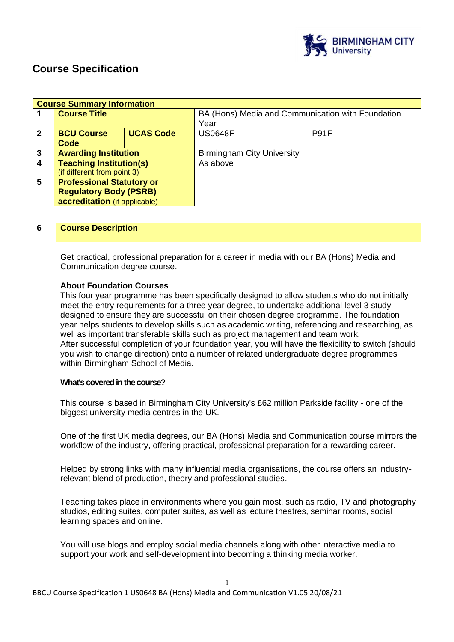

# **Course Specification**

|                | <b>Course Summary Information</b> |                  |                                                   |             |  |
|----------------|-----------------------------------|------------------|---------------------------------------------------|-------------|--|
|                | <b>Course Title</b>               |                  | BA (Hons) Media and Communication with Foundation |             |  |
|                |                                   |                  | Year                                              |             |  |
| $\overline{2}$ | <b>BCU Course</b>                 | <b>UCAS Code</b> | <b>US0648F</b>                                    | <b>P91F</b> |  |
|                | Code                              |                  |                                                   |             |  |
| 3              | <b>Awarding Institution</b>       |                  | <b>Birmingham City University</b>                 |             |  |
| 4              | <b>Teaching Institution(s)</b>    |                  | As above                                          |             |  |
|                | (if different from point 3)       |                  |                                                   |             |  |
| 5              | <b>Professional Statutory or</b>  |                  |                                                   |             |  |
|                | <b>Regulatory Body (PSRB)</b>     |                  |                                                   |             |  |
|                | accreditation (if applicable)     |                  |                                                   |             |  |

| $6\phantom{1}$ | <b>Course Description</b>                                                                                                                                                                                                                                                                                                                                                                                                                                                                                                                                                                                                                                                                                                                                |  |  |  |
|----------------|----------------------------------------------------------------------------------------------------------------------------------------------------------------------------------------------------------------------------------------------------------------------------------------------------------------------------------------------------------------------------------------------------------------------------------------------------------------------------------------------------------------------------------------------------------------------------------------------------------------------------------------------------------------------------------------------------------------------------------------------------------|--|--|--|
|                | Get practical, professional preparation for a career in media with our BA (Hons) Media and<br>Communication degree course.                                                                                                                                                                                                                                                                                                                                                                                                                                                                                                                                                                                                                               |  |  |  |
|                | <b>About Foundation Courses</b><br>This four year programme has been specifically designed to allow students who do not initially<br>meet the entry requirements for a three year degree, to undertake additional level 3 study<br>designed to ensure they are successful on their chosen degree programme. The foundation<br>year helps students to develop skills such as academic writing, referencing and researching, as<br>well as important transferable skills such as project management and team work.<br>After successful completion of your foundation year, you will have the flexibility to switch (should<br>you wish to change direction) onto a number of related undergraduate degree programmes<br>within Birmingham School of Media. |  |  |  |
|                | What's covered in the course?                                                                                                                                                                                                                                                                                                                                                                                                                                                                                                                                                                                                                                                                                                                            |  |  |  |
|                | This course is based in Birmingham City University's £62 million Parkside facility - one of the<br>biggest university media centres in the UK.                                                                                                                                                                                                                                                                                                                                                                                                                                                                                                                                                                                                           |  |  |  |
|                | One of the first UK media degrees, our BA (Hons) Media and Communication course mirrors the<br>workflow of the industry, offering practical, professional preparation for a rewarding career.                                                                                                                                                                                                                                                                                                                                                                                                                                                                                                                                                            |  |  |  |
|                | Helped by strong links with many influential media organisations, the course offers an industry-<br>relevant blend of production, theory and professional studies.                                                                                                                                                                                                                                                                                                                                                                                                                                                                                                                                                                                       |  |  |  |
|                | Teaching takes place in environments where you gain most, such as radio, TV and photography<br>studios, editing suites, computer suites, as well as lecture theatres, seminar rooms, social<br>learning spaces and online.                                                                                                                                                                                                                                                                                                                                                                                                                                                                                                                               |  |  |  |
|                | You will use blogs and employ social media channels along with other interactive media to<br>support your work and self-development into becoming a thinking media worker.                                                                                                                                                                                                                                                                                                                                                                                                                                                                                                                                                                               |  |  |  |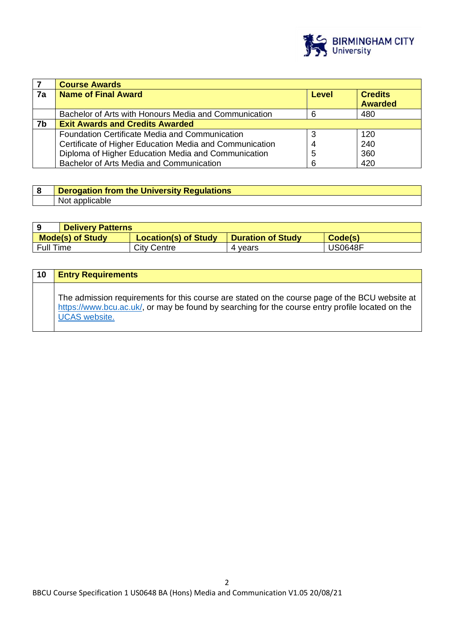

|    | <b>Course Awards</b>                                    |       |                                  |  |
|----|---------------------------------------------------------|-------|----------------------------------|--|
| 7a | <b>Name of Final Award</b>                              | Level | <b>Credits</b><br><b>Awarded</b> |  |
|    | Bachelor of Arts with Honours Media and Communication   | 6     | 480                              |  |
| 7b | <b>Exit Awards and Credits Awarded</b>                  |       |                                  |  |
|    | <b>Foundation Certificate Media and Communication</b>   |       | 120                              |  |
|    | Certificate of Higher Education Media and Communication |       | 240                              |  |
|    | Diploma of Higher Education Media and Communication     | 5     | 360                              |  |
|    | Bachelor of Arts Media and Communication                | 6     | 420                              |  |

| <b>Derogation from the University Regulations</b> |
|---------------------------------------------------|
| Not applicable                                    |

|                         | <b>Delivery Patterns</b> |                             |                          |         |
|-------------------------|--------------------------|-----------------------------|--------------------------|---------|
| <b>Mode(s) of Study</b> |                          | <b>Location(s) of Study</b> | <b>Duration of Study</b> | Code(s) |
| <b>Full Time</b>        |                          | <b>City Centre</b>          | vears                    | JS0648F |

| 10 | <b>Entry Requirements</b>                                                                                                                                                                                                  |
|----|----------------------------------------------------------------------------------------------------------------------------------------------------------------------------------------------------------------------------|
|    | The admission requirements for this course are stated on the course page of the BCU website at<br>https://www.bcu.ac.uk/, or may be found by searching for the course entry profile located on the<br><b>UCAS</b> website. |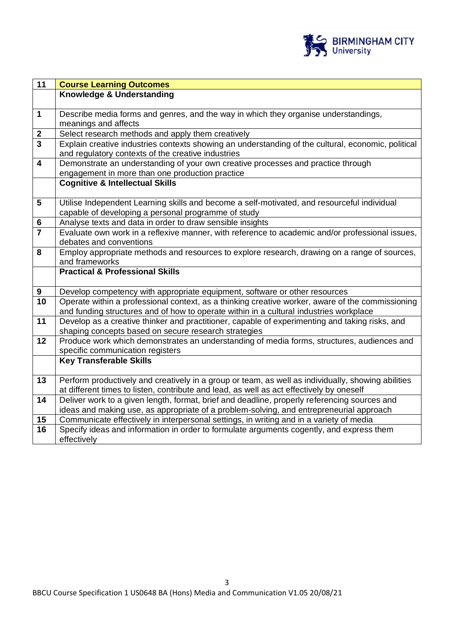

| <b>Course Learning Outcomes</b>                                                                                                        |
|----------------------------------------------------------------------------------------------------------------------------------------|
| Knowledge & Understanding                                                                                                              |
|                                                                                                                                        |
| Describe media forms and genres, and the way in which they organise understandings,                                                    |
| meanings and affects                                                                                                                   |
| Select research methods and apply them creatively                                                                                      |
| Explain creative industries contexts showing an understanding of the cultural, economic, political                                     |
| and regulatory contexts of the creative industries<br>Demonstrate an understanding of your own creative processes and practice through |
| engagement in more than one production practice                                                                                        |
| <b>Cognitive &amp; Intellectual Skills</b>                                                                                             |
|                                                                                                                                        |
| Utilise Independent Learning skills and become a self-motivated, and resourceful individual                                            |
| capable of developing a personal programme of study                                                                                    |
| Analyse texts and data in order to draw sensible insights                                                                              |
| Evaluate own work in a reflexive manner, with reference to academic and/or professional issues,                                        |
| debates and conventions                                                                                                                |
| Employ appropriate methods and resources to explore research, drawing on a range of sources,                                           |
| and frameworks                                                                                                                         |
| <b>Practical &amp; Professional Skills</b>                                                                                             |
| Develop competency with appropriate equipment, software or other resources                                                             |
| Operate within a professional context, as a thinking creative worker, aware of the commissioning                                       |
| and funding structures and of how to operate within in a cultural industries workplace                                                 |
| Develop as a creative thinker and practitioner, capable of experimenting and taking risks, and                                         |
| shaping concepts based on secure research strategies                                                                                   |
| Produce work which demonstrates an understanding of media forms, structures, audiences and                                             |
| specific communication registers                                                                                                       |
| <b>Key Transferable Skills</b>                                                                                                         |
| Perform productively and creatively in a group or team, as well as individually, showing abilities                                     |
| at different times to listen, contribute and lead, as well as act effectively by oneself                                               |
| Deliver work to a given length, format, brief and deadline, properly referencing sources and                                           |
| ideas and making use, as appropriate of a problem-solving, and entrepreneurial approach                                                |
| Communicate effectively in interpersonal settings, in writing and in a variety of media                                                |
| Specify ideas and information in order to formulate arguments cogently, and express them                                               |
| effectively                                                                                                                            |
|                                                                                                                                        |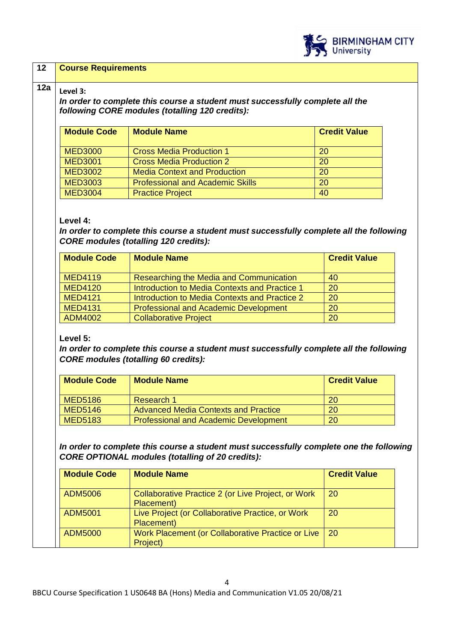

# **12 Course Requirements**

# $12a \mid \text{Level 3:}$

*In order to complete this course a student must successfully complete all the following CORE modules (totalling 120 credits):*

| <b>Module Code</b> | <b>Module Name</b>                      | <b>Credit Value</b> |
|--------------------|-----------------------------------------|---------------------|
| <b>MED3000</b>     | <b>Cross Media Production 1</b>         | <b>20</b>           |
| <b>MED3001</b>     | <b>Cross Media Production 2</b>         | 20                  |
| <b>MED3002</b>     | <b>Media Context and Production</b>     | 20                  |
| <b>MED3003</b>     | <b>Professional and Academic Skills</b> | 20                  |
| <b>MED3004</b>     | <b>Practice Project</b>                 | 40                  |

#### **Level 4:**

*In order to complete this course a student must successfully complete all the following CORE modules (totalling 120 credits):*

| <b>Module Code</b> | <b>Module Name</b>                            | <b>Credit Value</b> |
|--------------------|-----------------------------------------------|---------------------|
| <b>MED4119</b>     | Researching the Media and Communication       | 40                  |
| <b>MED4120</b>     | Introduction to Media Contexts and Practice 1 | 20                  |
| <b>MED4121</b>     | Introduction to Media Contexts and Practice 2 | 20                  |
| <b>MED4131</b>     | <b>Professional and Academic Development</b>  | 20                  |
| ADM4002            | <b>Collaborative Project</b>                  | 20                  |

# **Level 5:**

*In order to complete this course a student must successfully complete all the following CORE modules (totalling 60 credits):*

| <b>Module Code</b> | <b>Module Name</b>                           | <b>Credit Value</b> |
|--------------------|----------------------------------------------|---------------------|
| <b>MED5186</b>     | Research 1                                   | 20                  |
| <b>MED5146</b>     | <b>Advanced Media Contexts and Practice</b>  | 20                  |
| <b>MED5183</b>     | <b>Professional and Academic Development</b> | 20                  |

*In order to complete this course a student must successfully complete one the following CORE OPTIONAL modules (totalling of 20 credits):*

| <b>Module Code</b> | <b>Module Name</b>                                               | <b>Credit Value</b> |
|--------------------|------------------------------------------------------------------|---------------------|
| ADM5006            | Collaborative Practice 2 (or Live Project, or Work<br>Placement) | <b>20</b>           |
| <b>ADM5001</b>     | Live Project (or Collaborative Practice, or Work<br>Placement)   | 20                  |
| <b>ADM5000</b>     | Work Placement (or Collaborative Practice or Live<br>Project)    | <b>20</b>           |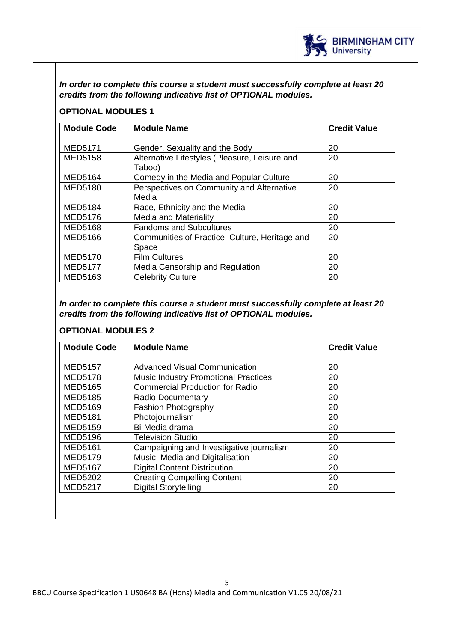

*In order to complete this course a student must successfully complete at least 20 credits from the following indicative list of OPTIONAL modules.* 

# **OPTIONAL MODULES 1**

| <b>Module Code</b> | <b>Module Name</b>                                      | <b>Credit Value</b> |
|--------------------|---------------------------------------------------------|---------------------|
| <b>MED5171</b>     | Gender, Sexuality and the Body                          | 20                  |
| <b>MED5158</b>     | Alternative Lifestyles (Pleasure, Leisure and<br>Taboo) | 20                  |
| <b>MED5164</b>     | Comedy in the Media and Popular Culture                 | 20                  |
| <b>MED5180</b>     | Perspectives on Community and Alternative               | 20                  |
|                    | Media                                                   |                     |
| <b>MED5184</b>     | Race, Ethnicity and the Media                           | 20                  |
| <b>MED5176</b>     | <b>Media and Materiality</b>                            | 20                  |
| <b>MED5168</b>     | <b>Fandoms and Subcultures</b>                          | 20                  |
| <b>MED5166</b>     | Communities of Practice: Culture, Heritage and          | 20                  |
|                    | Space                                                   |                     |
| <b>MED5170</b>     | <b>Film Cultures</b>                                    | 20                  |
| <b>MED5177</b>     | Media Censorship and Regulation                         | 20                  |
| <b>MED5163</b>     | <b>Celebrity Culture</b>                                | 20                  |

*In order to complete this course a student must successfully complete at least 20 credits from the following indicative list of OPTIONAL modules.*

# **OPTIONAL MODULES 2**

| <b>Module Code</b> | <b>Module Name</b>                          | <b>Credit Value</b> |
|--------------------|---------------------------------------------|---------------------|
|                    |                                             |                     |
| <b>MED5157</b>     | <b>Advanced Visual Communication</b>        | 20                  |
| <b>MED5178</b>     | <b>Music Industry Promotional Practices</b> | 20                  |
| <b>MED5165</b>     | <b>Commercial Production for Radio</b>      | 20                  |
| <b>MED5185</b>     | <b>Radio Documentary</b>                    | 20                  |
| <b>MED5169</b>     | <b>Fashion Photography</b>                  | 20                  |
| <b>MED5181</b>     | Photojournalism                             | 20                  |
| <b>MED5159</b>     | Bi-Media drama                              | 20                  |
| <b>MED5196</b>     | <b>Television Studio</b>                    | 20                  |
| <b>MED5161</b>     | Campaigning and Investigative journalism    | 20                  |
| <b>MED5179</b>     | Music, Media and Digitalisation             | 20                  |
| <b>MED5167</b>     | <b>Digital Content Distribution</b>         | 20                  |
| <b>MED5202</b>     | <b>Creating Compelling Content</b>          | 20                  |
| <b>MED5217</b>     | <b>Digital Storytelling</b>                 | 20                  |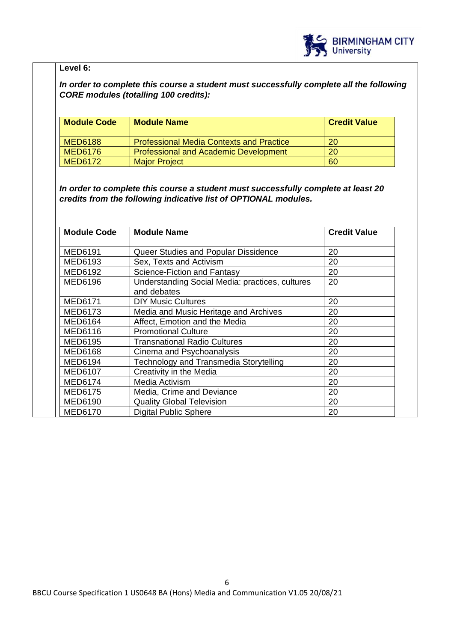

# **Level 6:**

*In order to complete this course a student must successfully complete all the following CORE modules (totalling 100 credits):*

| <b>Module Code</b> | <b>Module Name</b>                              | <b>Credit Value</b> |
|--------------------|-------------------------------------------------|---------------------|
| <b>MED6188</b>     | <b>Professional Media Contexts and Practice</b> | 20                  |
| <b>MED6176</b>     | <b>Professional and Academic Development</b>    | 20                  |
| <b>MED6172</b>     | <b>Major Project</b>                            | 60                  |

*In order to complete this course a student must successfully complete at least 20 credits from the following indicative list of OPTIONAL modules.* 

| <b>Module Code</b> | <b>Module Name</b>                                             | <b>Credit Value</b> |
|--------------------|----------------------------------------------------------------|---------------------|
| MED6191            | Queer Studies and Popular Dissidence                           | 20                  |
| MED6193            | Sex, Texts and Activism                                        | 20                  |
| MED6192            | Science-Fiction and Fantasy                                    | 20                  |
| <b>MED6196</b>     | Understanding Social Media: practices, cultures<br>and debates | 20                  |
| <b>MED6171</b>     | <b>DIY Music Cultures</b>                                      | 20                  |
| MED6173            | Media and Music Heritage and Archives                          | 20                  |
| <b>MED6164</b>     | Affect, Emotion and the Media                                  | 20                  |
| MED6116            | <b>Promotional Culture</b>                                     | 20                  |
| MED6195            | <b>Transnational Radio Cultures</b>                            | 20                  |
| <b>MED6168</b>     | Cinema and Psychoanalysis                                      | 20                  |
| MED6194            | Technology and Transmedia Storytelling                         | 20                  |
| MED6107            | Creativity in the Media                                        | 20                  |
| <b>MED6174</b>     | Media Activism                                                 | 20                  |
| MED6175            | Media, Crime and Deviance                                      | 20                  |
| MED6190            | <b>Quality Global Television</b>                               | 20                  |
| MED6170            | <b>Digital Public Sphere</b>                                   | 20                  |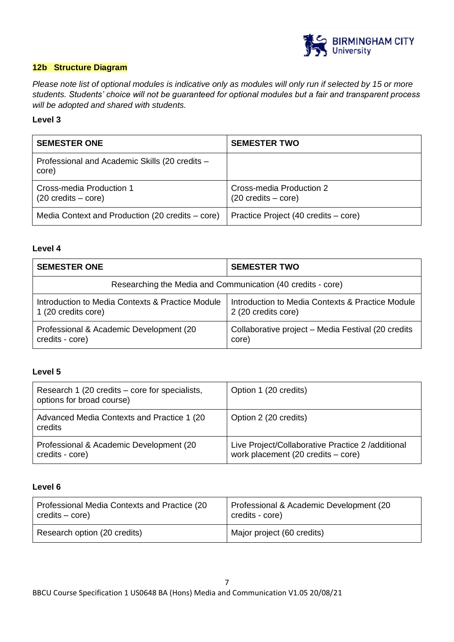

# **12b Structure Diagram**

*Please note list of optional modules is indicative only as modules will only run if selected by 15 or more students. Students' choice will not be guaranteed for optional modules but a fair and transparent process will be adopted and shared with students.*

## **Level 3**

| <b>SEMESTER ONE</b>                                              | <b>SEMESTER TWO</b>                                              |
|------------------------------------------------------------------|------------------------------------------------------------------|
| Professional and Academic Skills (20 credits -<br>core)          |                                                                  |
| Cross-media Production 1<br>$(20 \text{ credits} - \text{core})$ | Cross-media Production 2<br>$(20 \text{ credits} - \text{core})$ |
| Media Context and Production (20 credits – core)                 | Practice Project (40 credits – core)                             |

#### **Level 4**

| <b>SEMESTER ONE</b>                                         | <b>SEMESTER TWO</b>                                |  |
|-------------------------------------------------------------|----------------------------------------------------|--|
| Researching the Media and Communication (40 credits - core) |                                                    |  |
| Introduction to Media Contexts & Practice Module            | Introduction to Media Contexts & Practice Module   |  |
| 1 (20 credits core)                                         | 2 (20 credits core)                                |  |
| Professional & Academic Development (20)                    | Collaborative project – Media Festival (20 credits |  |
| credits - core)                                             | core)                                              |  |

# **Level 5**

| Research 1 (20 credits – core for specialists,<br>options for broad course) | Option 1 (20 credits)                                                                                     |
|-----------------------------------------------------------------------------|-----------------------------------------------------------------------------------------------------------|
| Advanced Media Contexts and Practice 1 (20)<br>credits                      | Option 2 (20 credits)                                                                                     |
| Professional & Academic Development (20<br>credits - core)                  | Live Project/Collaborative Practice 2 / additional<br>work placement $(20 \text{ credits} - \text{core})$ |

#### **Level 6**

| Professional Media Contexts and Practice (20 | Professional & Academic Development (20 |
|----------------------------------------------|-----------------------------------------|
| credits – core)                              | credits - core)                         |
| Research option (20 credits)                 | Major project (60 credits)              |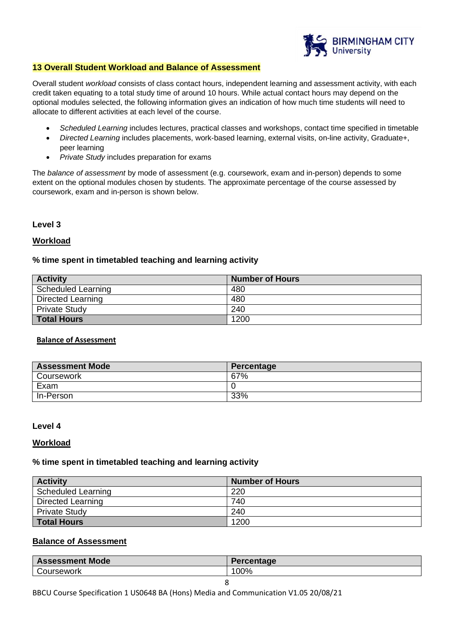

#### **13 Overall Student Workload and Balance of Assessment**

Overall student *workload* consists of class contact hours, independent learning and assessment activity, with each credit taken equating to a total study time of around 10 hours. While actual contact hours may depend on the optional modules selected, the following information gives an indication of how much time students will need to allocate to different activities at each level of the course.

- *Scheduled Learning* includes lectures, practical classes and workshops, contact time specified in timetable
- *Directed Learning* includes placements, work-based learning, external visits, on-line activity, Graduate+, peer learning
- *Private Study* includes preparation for exams

The *balance of assessment* by mode of assessment (e.g. coursework, exam and in-person) depends to some extent on the optional modules chosen by students. The approximate percentage of the course assessed by coursework, exam and in-person is shown below.

#### **Level 3**

## **Workload**

## **% time spent in timetabled teaching and learning activity**

| <b>Activity</b>      | <b>Number of Hours</b> |
|----------------------|------------------------|
| Scheduled Learning   | 480                    |
| Directed Learning    | 480                    |
| <b>Private Study</b> | 240                    |
| <b>Total Hours</b>   | 1200                   |

#### **Balance of Assessment**

| <b>Assessment Mode</b> | Percentage |
|------------------------|------------|
| <b>Coursework</b>      | 67%        |
| Exam                   |            |
| In-Person              | 33%        |

#### **Level 4**

#### **Workload**

#### **% time spent in timetabled teaching and learning activity**

| <b>Activity</b>           | <b>Number of Hours</b> |
|---------------------------|------------------------|
| <b>Scheduled Learning</b> | 220                    |
| <b>Directed Learning</b>  | 740                    |
| <b>Private Study</b>      | 240                    |
| <b>Total Hours</b>        | 1200                   |

## **Balance of Assessment**

| Mode<br><b>Assessment</b> | Percentage |
|---------------------------|------------|
| <b>Oursework</b>          | 00%        |

BBCU Course Specification 1 US0648 BA (Hons) Media and Communication V1.05 20/08/21